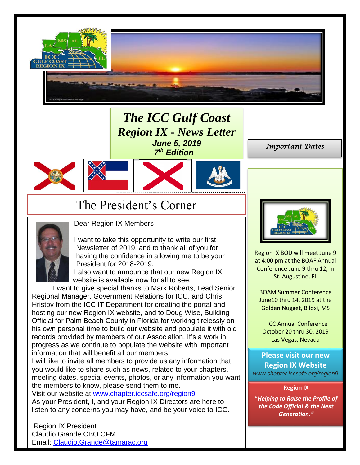

*The ICC Gulf Coast Region IX - News Letter June 5, 2019 7 th Edition*







## The President's Corner



Dear Region IX Members

I want to take this opportunity to write our first Newsletter of 2019, and to thank all of you for having the confidence in allowing me to be your President for 2018-2019.

I also want to announce that our new Region IX website is available now for all to see.

I want to give special thanks to Mark Roberts, Lead Senior Regional Manager, Government Relations for ICC, and Chris Hristov from the ICC IT Department for creating the portal and hosting our new Region IX website, and to Doug Wise, Building Official for Palm Beach County in Florida for working tirelessly on his own personal time to build our website and populate it with old records provided by members of our Association. It's a work in progress as we continue to populate the website with important information that will benefit all our members.

I will like to invite all members to provide us any information that you would like to share such as news, related to your chapters, meeting dates, special events, photos, or any information you want the members to know, please send them to me.

Visit our website at [www.chapter.iccsafe.org/region9](http://www.chapter.iccsafe.org/region9)

As your President, I, and your Region IX Directors are here to listen to any concerns you may have, and be your voice to ICC.

Region IX President Claudio Grande CBO CFM Email: [Claudio.Grande@tamarac.org](mailto:Claudio.Grande@tamarac.org) *Important Dates* 



Region IX BOD will meet June 9 at 4:00 pm at the BOAF Annual Conference June 9 thru 12, in St. Augustine, FL

BOAM Summer Conference June10 thru 14, 2019 at the Golden Nugget, Biloxi, MS

 ICC Annual Conference October 20 thru 30, 2019 Las Vegas, Nevada

**Please visit our new Region IX Website**  *www.chapter.iccsafe.org/region9*

**Region IX**

"*Helping to Raise the Profile of the Code Official & the Next Generation."*